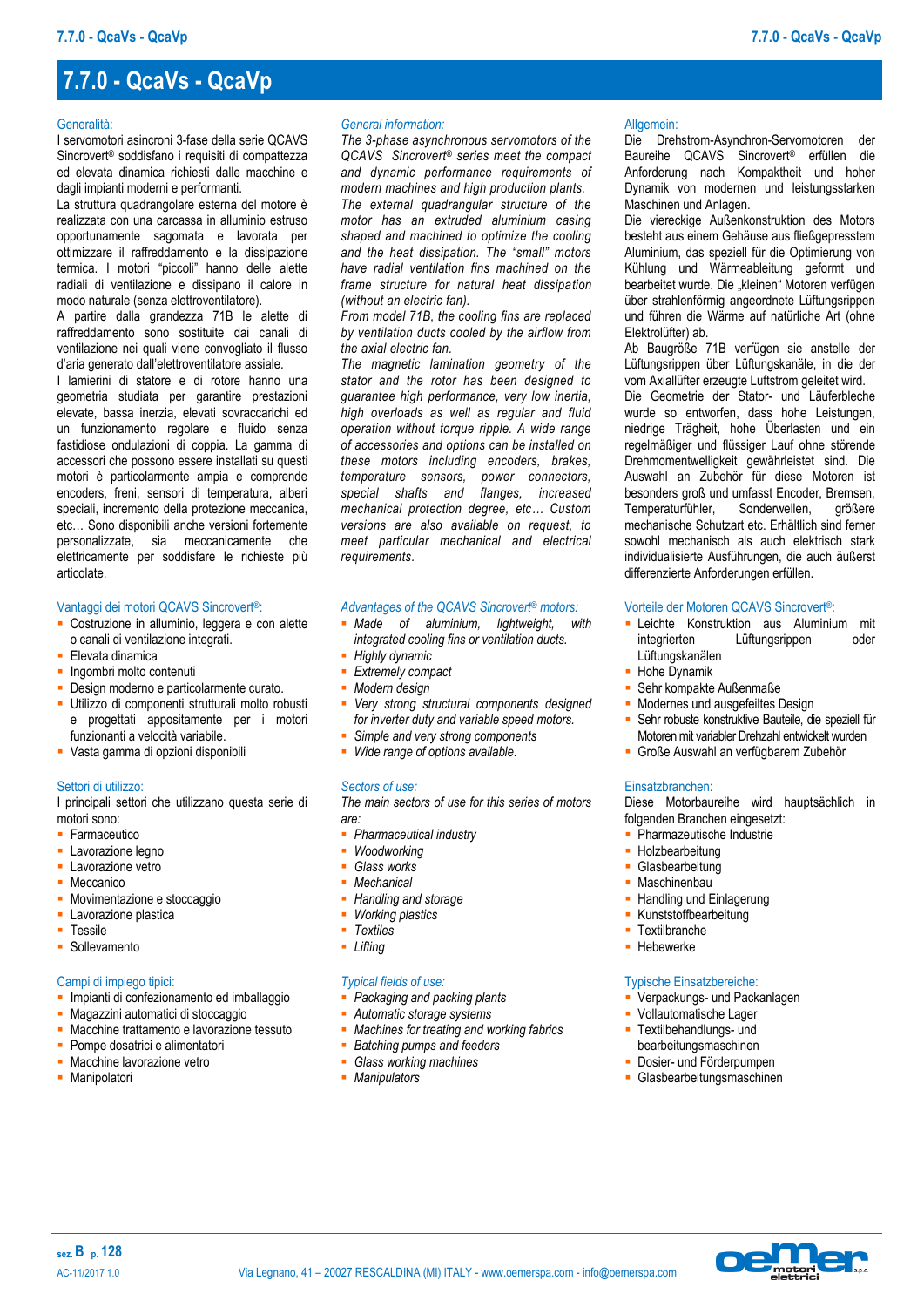## **7.7.0 - QcaVs - QcaVp**

#### **Generalità**

I servomotori asincroni 3-fase della serie QCAVS Sincrovert® soddisfano i requisiti di compattezza ed elevata dinamica richiesti dalle macchine e dagli impianti moderni e performanti.

La struttura quadrangolare esterna del motore è realizzata con una carcassa in alluminio estruso opportunamente sagomata e lavorata per ottimizzare il raffreddamento e la dissipazione termica. I motori "piccoli" hanno delle alette radiali di ventilazione e dissipano il calore in modo naturale (senza elettroventilatore).

A partire dalla grandezza 71B le alette di raffreddamento sono sostituite dai canali di ventilazione nei quali viene convogliato il flusso d'aria generato dall'elettroventilatore assiale.

I lamierini di statore e di rotore hanno una geometria studiata per garantire prestazioni elevate, bassa inerzia, elevati sovraccarichi ed un funzionamento regolare e fluido senza fastidiose ondulazioni di coppia. La gamma di accessori che possono essere installati su questi motori è particolarmente ampia e comprende encoders, freni, sensori di temperatura, alberi speciali, incremento della protezione meccanica, etc… Sono disponibili anche versioni fortemente personalizzate, sia meccanicamente che elettricamente per soddisfare le richieste più articolate.

#### Vantaggi dei motori QCAVS Sincrovert®:

- Costruzione in alluminio, leggera e con alette o canali di ventilazione integrati.
- **Elevata dinamica**
- Ingombri molto contenuti
- Design moderno e particolarmente curato.
- Utilizzo di componenti strutturali molto robusti e progettati appositamente per i motori funzionanti a velocità variabile.
- Vasta gamma di opzioni disponibili

#### Settori di utilizzo:

I principali settori che utilizzano questa serie di motori sono:

- **Farmaceutico**
- **-** Lavorazione legno
- **Lavorazione vetro**
- Meccanico
- Movimentazione e stoccaggio
- Lavorazione plastica
- **Tessile**
- **Sollevamento**

#### Campi di impiego tipici:

- **Impianti di confezionamento ed imballaggio**
- Magazzini automatici di stoccaggio
- **Macchine trattamento e lavorazione tessuto**
- Pompe dosatrici e alimentatori
- Macchine lavorazione vetro
- Manipolatori

#### *General information:*

*The 3-phase asynchronous servomotors of the QCAVS Sincrovert® series meet the compact and dynamic performance requirements of modern machines and high production plants. The external quadrangular structure of the motor has an extruded aluminium casing shaped and machined to optimize the cooling and the heat dissipation. The "small" motors have radial ventilation fins machined on the frame structure for natural heat dissipation (without an electric fan).* 

*From model 71B, the cooling fins are replaced by ventilation ducts cooled by the airflow from the axial electric fan.*

*The magnetic lamination geometry of the stator and the rotor has been designed to guarantee high performance, very low inertia, high overloads as well as regular and fluid operation without torque ripple. A wide range of accessories and options can be installed on these motors including encoders, brakes, temperature sensors, power connectors, special shafts and flanges, increased mechanical protection degree, etc… Custom versions are also available on request, to meet particular mechanical and electrical requirements.*

## *Advantages of the QCAVS Sincrovert® motors:*

- *Made* of aluminium, lightweight, *integrated cooling fins or ventilation ducts.*
- *Highly dynamic*
- *Extremely compact*
- *Modern design*
- *Very strong structural components designed for inverter duty and variable speed motors.*
- *Simple and very strong components Wide range of options available.*

## *Sectors of use:*

*The main sectors of use for this series of motors are:*

- *Pharmaceutical industry*
- *Woodworking*
- *Glass works*
- *Mechanical*
- *Handling and storage*
- *Working plastics*
- *Textiles*
- *Lifting*

### *Typical fields of use:*

- *Packaging and packing plants*
- *Automatic storage systems*
- *Machines for treating and working fabrics*
- *Batching pumps and feeders Glass working machines*
- *Manipulators*

#### Allgemein:

Die Drehstrom-Asynchron-Servomotoren der Baureihe QCAVS Sincrovert® erfüllen die Anforderung nach Kompaktheit und hoher Dynamik von modernen und leistungsstarken Maschinen und Anlagen.

Die viereckige Außenkonstruktion des Motors besteht aus einem Gehäuse aus fließgepresstem Aluminium, das speziell für die Optimierung von Kühlung und Wärmeableitung geformt und bearbeitet wurde. Die "kleinen" Motoren verfügen über strahlenförmig angeordnete Lüftungsrippen und führen die Wärme auf natürliche Art (ohne Elektrolüfter) ab.

Ab Baugröße 71B verfügen sie anstelle der Lüftungsrippen über Lüftungskanäle, in die der vom Axiallüfter erzeugte Luftstrom geleitet wird. Die Geometrie der Stator- und Läuferbleche wurde so entworfen, dass hohe Leistungen, niedrige Trägheit, hohe Überlasten und ein regelmäßiger und flüssiger Lauf ohne störende Drehmomentwelligkeit gewährleistet sind. Die Auswahl an Zubehör für diese Motoren ist besonders groß und umfasst Encoder, Bremsen,<br>Temperaturfühler, Sonderwellen, größere Temperaturfühler, Sonderwellen, größere mechanische Schutzart etc. Erhältlich sind ferner sowohl mechanisch als auch elektrisch stark individualisierte Ausführungen, die auch äußerst

#### Vorteile der Motoren QCAVS Sincrovert®:

differenzierte Anforderungen erfüllen.

- **-** Leichte Konstruktion aus Aluminium mit integrierten Lüftungsrippen oder Lüftungskanälen
- **Hohe Dynamik**
- Sehr kompakte Außenmaße
- Modernes und ausgefeiltes Design
- Sehr robuste konstruktive Bauteile, die speziell für Motoren mit variabler Drehzahl entwickelt wurden
- Große Auswahl an verfügbarem Zubehör

#### Einsatzbranchen:

Diese Motorbaureihe wird hauptsächlich in folgenden Branchen eingesetzt:

- **Pharmazeutische Industrie**
- **Holzbearbeitung**
- **Glasbearbeitung**
- Maschinenbau
- Handling und Einlagerung
- Kunststoffbearbeitung
- **Textilbranche**
- **Hebewerke**

#### Typische Einsatzbereiche:

- **Verpackungs- und Packanlagen**
- Vollautomatische Lager
- **Textilbehandlungs- und** bearbeitungsmaschinen
- **-** Dosier- und Förderpumpen
- Glasbearbeitungsmaschinen

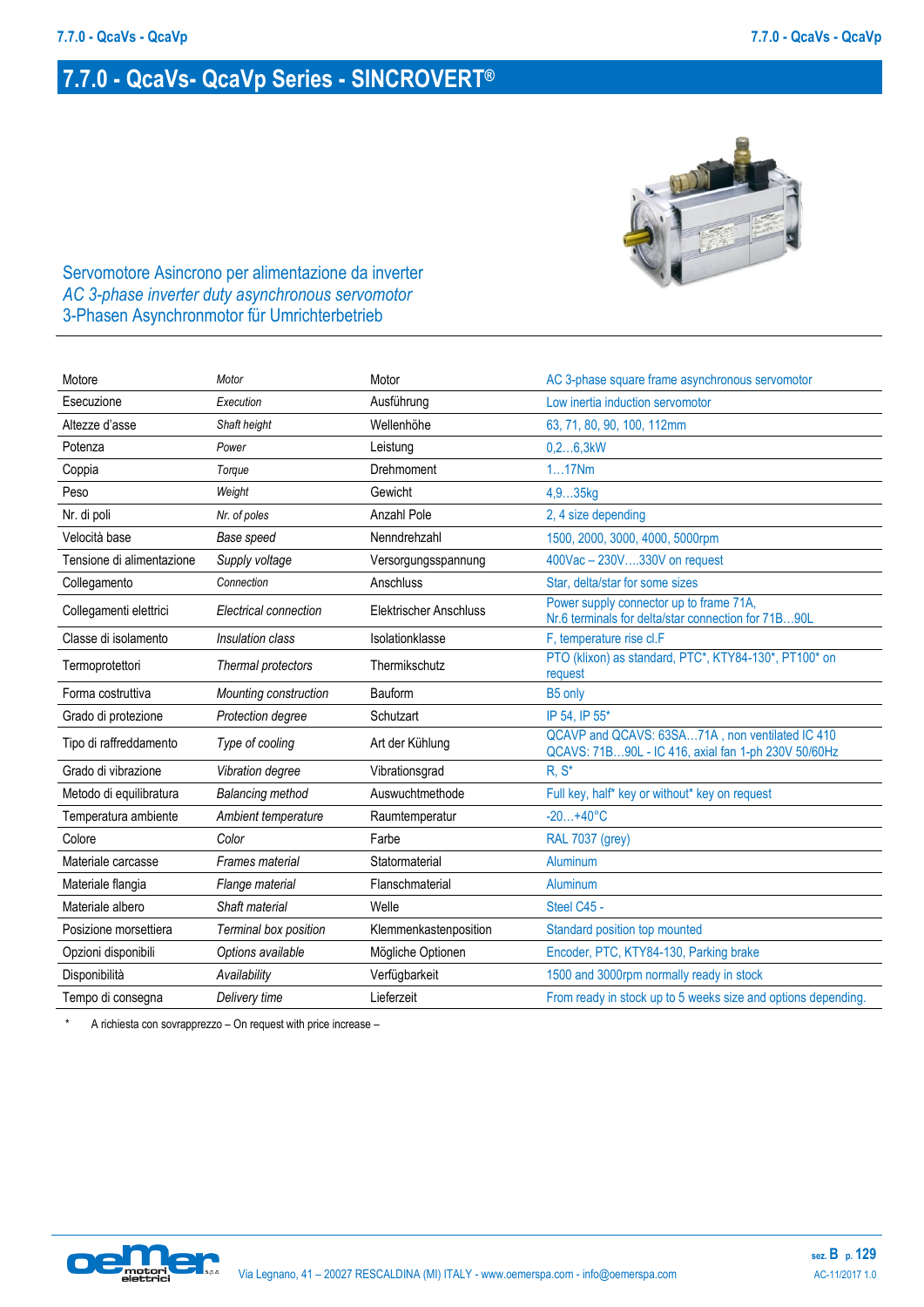# **7.7.0 - QcaVs- QcaVp Series - SINCROVERT®**



Servomotore Asincrono per alimentazione da inverter *AC 3-phase inverter duty asynchronous servomotor* 3-Phasen Asynchronmotor für Umrichterbetrieb

| Motore                    | Motor                   | Motor                         | AC 3-phase square frame asynchronous servomotor                                                        |
|---------------------------|-------------------------|-------------------------------|--------------------------------------------------------------------------------------------------------|
| Esecuzione                | Execution               | Ausführung                    | Low inertia induction servomotor                                                                       |
| Altezze d'asse            | Shaft height            | Wellenhöhe                    | 63, 71, 80, 90, 100, 112mm                                                                             |
| Potenza                   | Power                   | Leistung                      | 0, 26, 3kW                                                                                             |
| Coppia                    | Torque                  | Drehmoment                    | 117Nm                                                                                                  |
| Peso                      | Weight                  | Gewicht                       | 4,935kg                                                                                                |
| Nr. di poli               | Nr. of poles            | Anzahl Pole                   | 2, 4 size depending                                                                                    |
| Velocità base             | Base speed              | Nenndrehzahl                  | 1500, 2000, 3000, 4000, 5000rpm                                                                        |
| Tensione di alimentazione | Supply voltage          | Versorgungsspannung           | 400Vac - 230V330V on request                                                                           |
| Collegamento              | Connection              | Anschluss                     | Star, delta/star for some sizes                                                                        |
| Collegamenti elettrici    | Electrical connection   | <b>Elektrischer Anschluss</b> | Power supply connector up to frame 71A,<br>Nr.6 terminals for delta/star connection for 71B90L         |
| Classe di isolamento      | Insulation class        | Isolationklasse               | F, temperature rise cl.F                                                                               |
| Termoprotettori           | Thermal protectors      | Thermikschutz                 | PTO (klixon) as standard, PTC*, KTY84-130*, PT100* on<br>request                                       |
| Forma costruttiva         | Mounting construction   | Bauform                       | B5 only                                                                                                |
| Grado di protezione       | Protection degree       | Schutzart                     | IP 54, IP 55*                                                                                          |
| Tipo di raffreddamento    | Type of cooling         | Art der Kühlung               | QCAVP and QCAVS: 63SA71A, non ventilated IC 410<br>QCAVS: 71B90L - IC 416, axial fan 1-ph 230V 50/60Hz |
| Grado di vibrazione       | Vibration degree        | Vibrationsgrad                | $R, S^*$                                                                                               |
| Metodo di equilibratura   | <b>Balancing method</b> | Auswuchtmethode               | Full key, half* key or without* key on request                                                         |
| Temperatura ambiente      | Ambient temperature     | Raumtemperatur                | $-20+40°C$                                                                                             |
| Colore                    | Color                   | Farbe                         | <b>RAL 7037 (grey)</b>                                                                                 |
| Materiale carcasse        | Frames material         | Statormaterial                | Aluminum                                                                                               |
| Materiale flangia         | Flange material         | Flanschmaterial               | Aluminum                                                                                               |
| Materiale albero          | Shaft material          | Welle                         | Steel C45 -                                                                                            |
| Posizione morsettiera     | Terminal box position   | Klemmenkastenposition         | Standard position top mounted                                                                          |
| Opzioni disponibili       | Options available       | Mögliche Optionen             | Encoder, PTC, KTY84-130, Parking brake                                                                 |
| Disponibilità             | Availability            | Verfügbarkeit                 | 1500 and 3000rpm normally ready in stock                                                               |
| Tempo di consegna         | Delivery time           | Lieferzeit                    | From ready in stock up to 5 weeks size and options depending.                                          |

\* A richiesta con sovrapprezzo – On request with price increase –

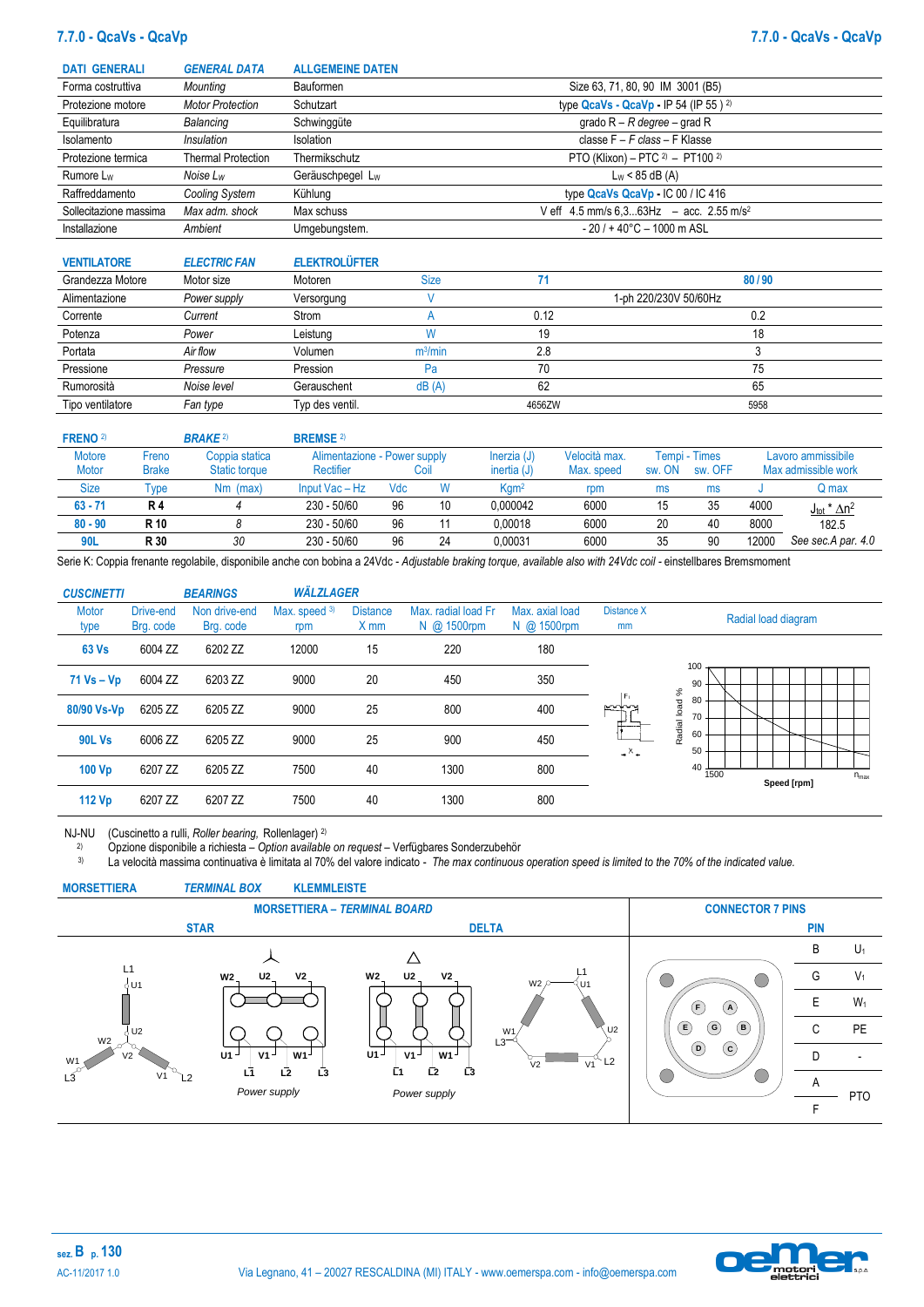### **7.7.0 - QcaVs - QcaVp 7.7.0 - QcaVs - QcaVp**

| <b>DATI GENERALI</b>   | <b>GENERAL DATA</b>     | <b>ALLGEMEINE DATEN</b> |                                                            |
|------------------------|-------------------------|-------------------------|------------------------------------------------------------|
| Forma costruttiva      | Mounting                | Bauformen               | Size 63, 71, 80, 90 IM 3001 (B5)                           |
| Protezione motore      | <b>Motor Protection</b> | Schutzart               | type QcaVs - QcaVp - IP 54 (IP 55 ) $^{2}$ )               |
| Equilibratura          | Balancing               | Schwinggüte             | grado $R - R$ degree – grad R                              |
| Isolamento             | Insulation              | Isolation               | classe $F - F$ class - F Klasse                            |
| Protezione termica     | Thermal Protection      | Thermikschutz           | PTO (Klixon) – PTC $2$ ) – PT100 $2$ )                     |
| Rumore L <sub>w</sub>  | Noise Lw                | Geräuschpegel Lw        | $L_W < 85$ dB (A)                                          |
| Raffreddamento         | Cooling System          | Kühlung                 | type QcaVs QcaVp - IC 00 / IC 416                          |
| Sollecitazione massima | Max adm. shock          | Max schuss              | V eff $4.5$ mm/s $6.363$ Hz $-$ acc. 2.55 m/s <sup>2</sup> |
| Installazione          | Ambient                 | Umgebungstem.           | $-20$ / + 40 $^{\circ}$ C - 1000 m ASL                     |

| <b>VENTILATORE</b> | <b>ELECTRIC FAN</b> | <b>ELEKTROLÜFTER</b> |                     |        |                       |
|--------------------|---------------------|----------------------|---------------------|--------|-----------------------|
| Grandezza Motore   | Motor size          | Motoren              | <b>Size</b>         |        | 80/90                 |
| Alimentazione      | Power supply        | Versorgung           |                     |        | 1-ph 220/230V 50/60Hz |
| Corrente           | Current             | Strom                |                     | 0.12   | 0.2                   |
| Potenza            | Power               | Leistung             | W                   | 19     | 18                    |
| Portata            | Air flow            | Volumen              | m <sup>3</sup> /min | 2.8    |                       |
| Pressione          | Pressure            | Pression             | Pa                  | 70     | 75                    |
| Rumorosità         | Noise level         | Gerauschent          | dB(A)               | 62     | 65                    |
| Tipo ventilatore   | Fan type            | Typ des ventil.      |                     | 4656ZW | 5958                  |

| <b>FRENO</b> <sup>2)</sup> |              | <b>BRAKE</b> 2) | <b>BREMSE</b> 2)             |     |      |                  |               |        |               |       |                                 |
|----------------------------|--------------|-----------------|------------------------------|-----|------|------------------|---------------|--------|---------------|-------|---------------------------------|
| <b>Motore</b>              | Freno        | Coppia statica  | Alimentazione - Power supply |     |      | Inerzia (J)      | Velocità max. |        | Tempi - Times |       | Lavoro ammissibile              |
| <b>Motor</b>               | <b>Brake</b> | Static torque   | Rectifier                    |     | Coil | inertia $(J)$    | Max. speed    | sw. ON | sw. OFF       |       | Max admissible work             |
| <b>Size</b>                | Type         | Nm (max)        | Input Vac - Hz               | Vdc |      | Kgm <sup>2</sup> | rpm           | ms     | ms            |       | Q max                           |
| $63 - 71$                  | <b>R4</b>    |                 | 230 - 50/60                  | 96  | 10   | 0.000042         | 6000          | 15     | 35            | 4000  | $J_{\text{tot}}$ * $\Delta n^2$ |
| $80 - 90$                  | R 10         |                 | $230 - 50/60$                | 96  |      | 0.00018          | 6000          | 20     | 40            | 8000  | 182.5                           |
| 90L                        | R 30         | 30              | 230 - 50/60                  | 96  | 24   | 0.00031          | 6000          | 35     | 90            | 12000 | See sec.A par. 4.0              |

Serie K: Coppia frenante regolabile, disponibile anche con bobina a 24Vdc - Adjustable braking torque, available also with 24Vdc coil - einstellbares Bremsmoment

| <b>CUSCINETTI</b>    |                        | <b>BEARINGS</b>            | <b>WÄLZLAGER</b>      |                         |                                    |                                |                  |                                                   |
|----------------------|------------------------|----------------------------|-----------------------|-------------------------|------------------------------------|--------------------------------|------------------|---------------------------------------------------|
| <b>Motor</b><br>type | Drive-end<br>Brg. code | Non drive-end<br>Brg. code | Max. speed $3$<br>rpm | <b>Distance</b><br>X mm | Max. radial load Fr<br>N @ 1500rpm | Max. axial load<br>N @ 1500rpm | Distance X<br>mm | Radial load diagram                               |
| <b>63 Vs</b>         | 6004 ZZ                | 6202 ZZ                    | 12000                 | 15                      | 220                                | 180                            |                  |                                                   |
| $71$ Vs – Vp         | 6004 ZZ                | 6203 ZZ                    | 9000                  | 20                      | 450                                | 350                            | $ F_1$           | 100<br>90                                         |
| 80/90 Vs-Vp          | 6205 ZZ                | 6205 ZZ                    | 9000                  | 25                      | 800                                | 400                            | <b>POPPO</b>     | Radial load %<br>80<br>70                         |
| <b>90L Vs</b>        | 6006 ZZ                | 6205 ZZ                    | 9000                  | 25                      | 900                                | 450                            | $ x -$           | 60<br>50                                          |
| 100 Vp               | 6207 ZZ                | 6205 ZZ                    | 7500                  | 40                      | 1300                               | 800                            |                  | $40 + \frac{1}{1500}$<br>$n_{max}$<br>Speed [rpm] |
| 112 Vp               | 6207 ZZ                | 6207 ZZ                    | 7500                  | 40                      | 1300                               | 800                            |                  |                                                   |

NJ-NU (Cuscinetto a rulli, *Roller bearing,* Rollenlager) 2)

2) Opzione disponibile a richiesta – *Option* a*vailable on request* – Verfügbares Sonderzubehör

3) La velocità massima continuativa è limitata al 70% del valore indicato - *The max continuous operation speed is limited to the 70% of the indicated value.*



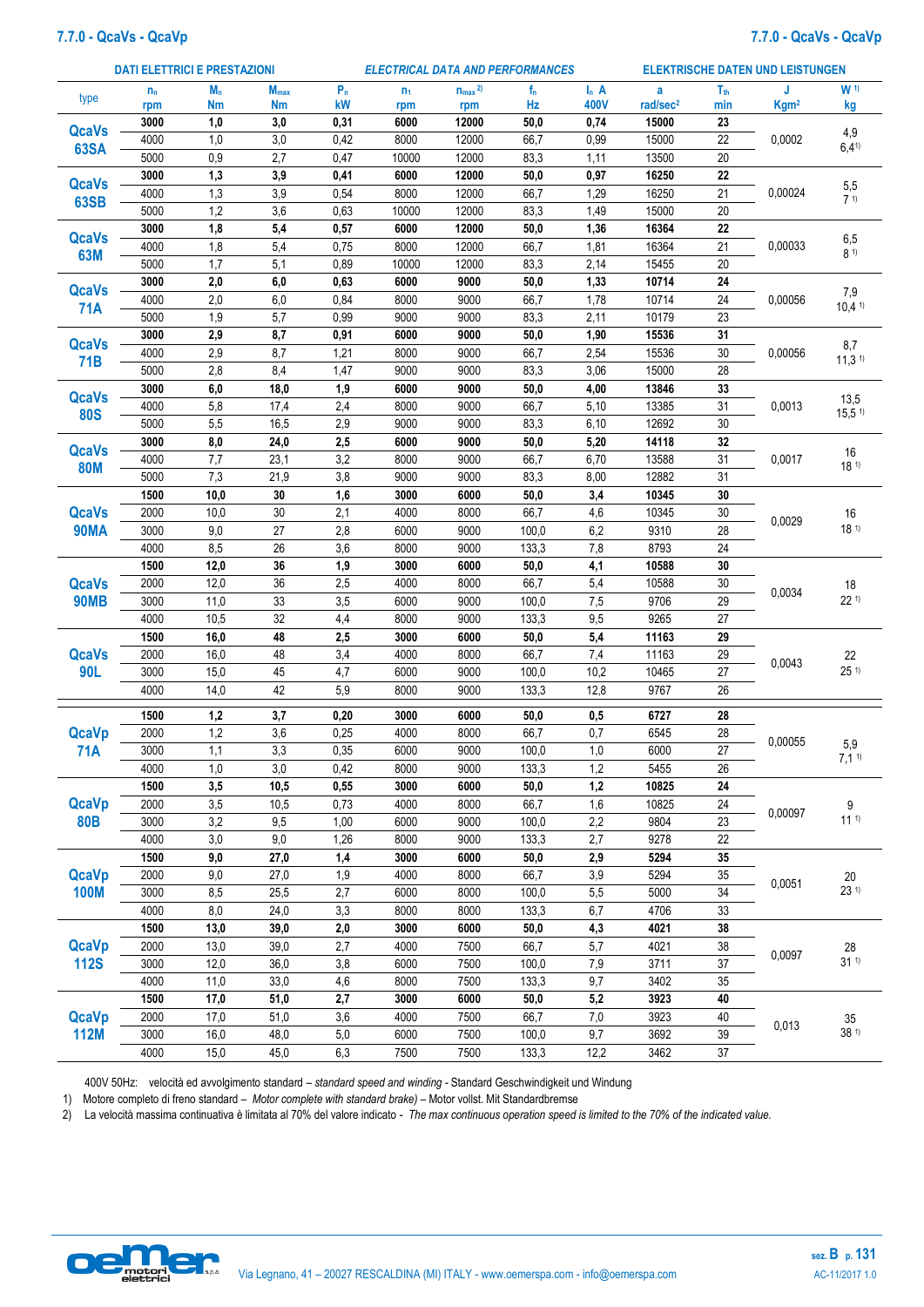### **7.7.0 - QcaVs - QcaVp 7.7.0 - QcaVs - QcaVp**

|              |         | <b>DATI ELETTRICI E PRESTAZIONI</b> |                         |       |                | <b>ELECTRICAL DATA AND PERFORMANCES</b> |       |                  |                      |                 | <b>ELEKTRISCHE DATEN UND LEISTUNGEN</b> |                                         |
|--------------|---------|-------------------------------------|-------------------------|-------|----------------|-----------------------------------------|-------|------------------|----------------------|-----------------|-----------------------------------------|-----------------------------------------|
| type         | $n_{n}$ | $M_n$                               | <b>M</b> <sub>max</sub> | $P_n$ | n <sub>1</sub> | $n_{max}$ <sup>2)</sup>                 | $f_n$ | $\mathsf{I}_n$ A | a                    | T <sub>th</sub> | J                                       | W <sub>1</sub>                          |
|              | rpm     | <b>Nm</b>                           | <b>Nm</b>               | kW    | rpm            | rpm                                     | Hz    | 400V             | rad/sec <sup>2</sup> | min             | Kgm <sup>2</sup>                        | kg                                      |
| <b>QcaVs</b> | 3000    | 1,0                                 | 3,0                     | 0,31  | 6000           | 12000                                   | 50,0  | 0,74             | 15000                | 23              |                                         | 4,9                                     |
| <b>63SA</b>  | 4000    | 1,0                                 | 3,0                     | 0,42  | 8000           | 12000                                   | 66,7  | 0,99             | 15000                | 22              | 0,0002                                  | 6,41                                    |
|              | 5000    | 0,9                                 | 2,7                     | 0,47  | 10000          | 12000                                   | 83,3  | 1,11             | 13500                | 20              |                                         |                                         |
| <b>QcaVs</b> | 3000    | 1,3                                 | 3,9                     | 0,41  | 6000           | 12000                                   | 50,0  | 0,97             | 16250                | 22              |                                         | 5,5                                     |
| <b>63SB</b>  | 4000    | 1,3                                 | 3,9                     | 0,54  | 8000           | 12000                                   | 66,7  | 1,29             | 16250                | 21              | 0,00024                                 | 7 <sup>1</sup>                          |
|              | 5000    | 1,2                                 | 3,6                     | 0,63  | 10000          | 12000                                   | 83,3  | 1,49             | 15000                | 20              |                                         |                                         |
| <b>QcaVs</b> | 3000    | 1,8                                 | 5,4                     | 0,57  | 6000           | 12000                                   | 50,0  | 1,36             | 16364                | 22              |                                         | 6,5                                     |
| 63M          | 4000    | 1,8                                 | 5,4                     | 0,75  | 8000           | 12000                                   | 66,7  | 1,81             | 16364                | 21              | 0,00033                                 | 81)                                     |
|              | 5000    | 1,7                                 | 5,1                     | 0,89  | 10000          | 12000                                   | 83,3  | 2,14             | 15455                | 20              |                                         |                                         |
| <b>QcaVs</b> | 3000    | 2,0                                 | 6,0                     | 0,63  | 6000           | 9000                                    | 50,0  | 1,33             | 10714                | 24              |                                         | 7,9                                     |
| <b>71A</b>   | 4000    | 2,0                                 | 6,0                     | 0,84  | 8000           | 9000                                    | 66,7  | 1,78             | 10714                | 24              | 0,00056                                 | 10,41                                   |
|              | 5000    | 1,9                                 | 5,7                     | 0,99  | 9000           | 9000                                    | 83,3  | 2,11             | 10179                | 23              |                                         |                                         |
| <b>QcaVs</b> | 3000    | 2,9                                 | 8,7                     | 0,91  | 6000           | 9000                                    | 50,0  | 1,90             | 15536                | 31              |                                         | 8,7                                     |
| 71B          | 4000    | 2,9                                 | 8,7                     | 1,21  | 8000           | 9000                                    | 66,7  | 2,54             | 15536                | 30              | 0,00056                                 | 11,31                                   |
|              | 5000    | 2,8                                 | 8,4                     | 1,47  | 9000           | 9000                                    | 83,3  | 3,06             | 15000                | 28              |                                         |                                         |
| <b>QcaVs</b> | 3000    | 6,0                                 | 18,0                    | 1,9   | 6000           | 9000                                    | 50,0  | 4,00             | 13846                | 33              |                                         | 13,5                                    |
| <b>80S</b>   | 4000    | 5,8                                 | 17,4                    | 2,4   | 8000           | 9000                                    | 66,7  | 5,10             | 13385                | 31              | 0,0013                                  | 15,51                                   |
|              | 5000    | 5,5                                 | 16,5                    | 2,9   | 9000           | 9000                                    | 83,3  | 6,10             | 12692                | 30              |                                         |                                         |
| <b>QcaVs</b> | 3000    | 8,0                                 | 24,0                    | 2,5   | 6000           | 9000                                    | 50,0  | 5,20             | 14118                | 32              |                                         | 16                                      |
| <b>80M</b>   | 4000    | 7,7                                 | 23,1                    | 3,2   | 8000           | 9000                                    | 66,7  | 6,70             | 13588                | 31              | 0,0017                                  | 18 <sup>1</sup>                         |
|              | 5000    | 7,3                                 | 21,9                    | 3,8   | 9000           | 9000                                    | 83,3  | 8,00             | 12882                | 31              |                                         |                                         |
|              | 1500    | 10,0                                | 30                      | 1,6   | 3000           | 6000                                    | 50,0  | 3,4              | 10345                | 30              |                                         |                                         |
| <b>QcaVs</b> | 2000    | 10,0                                | 30                      | 2,1   | 4000           | 8000                                    | 66,7  | 4,6              | 10345                | $30\,$          | 0,0029                                  | 16                                      |
| <b>90MA</b>  | 3000    | 9,0                                 | 27                      | 2,8   | 6000           | 9000                                    | 100,0 | 6,2              | 9310                 | 28              |                                         | 18 <sup>1</sup>                         |
|              | 4000    | 8,5                                 | 26                      | 3,6   | 8000           | 9000                                    | 133,3 | 7,8              | 8793                 | 24              |                                         |                                         |
|              | 1500    | 12,0                                | 36                      | 1,9   | 3000           | 6000                                    | 50,0  | 4,1              | 10588                | 30              |                                         |                                         |
| <b>QcaVs</b> | 2000    | 12,0                                | 36                      | 2,5   | 4000           | 8000                                    | 66,7  | 5,4              | 10588                | 30              | 0,0034                                  | 18                                      |
| <b>90MB</b>  | 3000    | 11,0                                | 33                      | 3,5   | 6000           | 9000                                    | 100,0 | 7,5              | 9706                 | 29              |                                         | 22 <sup>1</sup>                         |
|              | 4000    | 10,5                                | 32                      | 4,4   | 8000           | 9000                                    | 133,3 | 9,5              | 9265                 | 27              |                                         |                                         |
|              | 1500    | 16,0                                | 48                      | 2,5   | 3000           | 6000                                    | 50,0  | 5,4              | 11163                | 29              |                                         |                                         |
| <b>QcaVs</b> | 2000    | 16,0                                | 48                      | 3,4   | 4000           | 8000                                    | 66,7  | 7,4              | 11163                | 29              | 0,0043                                  | 22                                      |
| <b>90L</b>   | 3000    | 15,0                                | 45                      | 4,7   | 6000           | 9000                                    | 100,0 | 10,2             | 10465                | 27              |                                         | 251                                     |
|              | 4000    | 14,0                                | 42                      | 5,9   | 8000           | 9000                                    | 133,3 | 12,8             | 9767                 | 26              |                                         |                                         |
|              | 1500    | 1,2                                 | 3,7                     | 0,20  | 3000           | 6000                                    | 50,0  | 0,5              | 6727                 | 28              |                                         |                                         |
| <b>QcaVp</b> | 2000    | 1,2                                 | 3,6                     | 0,25  | 4000           | 8000                                    | 66,7  | 0,7              | 6545                 | 28              |                                         |                                         |
| 71A          | 3000    | 1,1                                 | 3,3                     | 0,35  | 6000           | 9000                                    | 100,0 | 1,0              | 6000                 | 27              | 0,00055                                 | 5,9                                     |
|              | 4000    | 1,0                                 | 3,0                     | 0,42  | 8000           | 9000                                    | 133,3 | 1,2              | 5455                 | 26              |                                         | 7,11                                    |
|              | 1500    | 3,5                                 | 10,5                    | 0,55  | 3000           | 6000                                    | 50,0  | 1,2              | 10825                | 24              |                                         |                                         |
| <b>QcaVp</b> | 2000    | 3,5                                 | 10,5                    | 0,73  | 4000           | 8000                                    | 66,7  | 1,6              | 10825                | 24              |                                         | 9                                       |
| <b>80B</b>   | 3000    | 3,2                                 | 9,5                     | 1,00  | 6000           | 9000                                    | 100,0 | 2,2              | 9804                 | 23              | 0,00097                                 | 11 <sup>1</sup>                         |
|              | 4000    | $3,0$                               | $9,0$                   | 1,26  | 8000           | 9000                                    | 133,3 | 2,7              | 9278                 | 22              |                                         |                                         |
|              | 1500    | $9{,}0$                             | 27,0                    | 1,4   | 3000           | 6000                                    | 50,0  | 2,9              | 5294                 | 35              |                                         |                                         |
| <b>QcaVp</b> | 2000    | $9,\!0$                             | 27,0                    | 1,9   | 4000           | 8000                                    | 66,7  | 3,9              | 5294                 | 35              |                                         |                                         |
| <b>100M</b>  | 3000    | 8,5                                 | 25,5                    | 2,7   | 6000           | 8000                                    | 100,0 | 5,5              | 5000                 | 34              | 0,0051                                  | $\begin{array}{c} 20 \\ 23 \end{array}$ |
|              | 4000    | $_{\rm 8,0}$                        | 24,0                    | 3,3   | 8000           | 8000                                    | 133,3 | 6,7              | 4706                 | 33              |                                         |                                         |
|              | 1500    | 13,0                                | 39,0                    | 2,0   | 3000           | 6000                                    | 50,0  | 4,3              | 4021                 | 38              |                                         |                                         |
| <b>QcaVp</b> | 2000    | 13,0                                | 39,0                    | 2,7   | 4000           | 7500                                    | 66,7  | 5,7              | 4021                 | 38              |                                         | 28                                      |
| <b>112S</b>  | 3000    | 12,0                                | 36,0                    | 3,8   | 6000           | 7500                                    | 100,0 | 7,9              | 3711                 | 37              | 0,0097                                  | 31 <sup>1</sup>                         |
|              | 4000    | 11,0                                | 33,0                    | $4,6$ | 8000           | 7500                                    | 133,3 | 9,7              | 3402                 | 35              |                                         |                                         |
|              | 1500    | 17,0                                | 51,0                    | 2,7   | 3000           | 6000                                    | 50,0  | 5,2              | 3923                 | 40              |                                         |                                         |
| <b>QcaVp</b> | 2000    | 17,0                                | 51,0                    | 3,6   | 4000           | 7500                                    | 66,7  | $7,0$            | 3923                 | 40              |                                         |                                         |
| <b>112M</b>  | 3000    | 16,0                                | 48,0                    | 5,0   | 6000           | 7500                                    | 100,0 | 9,7              | 3692                 | 39              | 0,013                                   | $\begin{array}{c} 35 \\ 38 \end{array}$ |
|              | 4000    | 15,0                                | 45,0                    | 6,3   | 7500           | 7500                                    | 133,3 | 12,2             | 3462                 | 37              |                                         |                                         |
|              |         |                                     |                         |       |                |                                         |       |                  |                      |                 |                                         |                                         |

400V 50Hz: velocità ed avvolgimento standard – *standard speed and winding -* Standard Geschwindigkeit und Windung

1) Motore completo di freno standard – *Motor complete with standard brake)* – Motor vollst. Mit Standardbremse

2) La velocità massima continuativa è limitata al 70% del valore indicato - *The max continuous operation speed is limited to the 70% of the indicated value.*

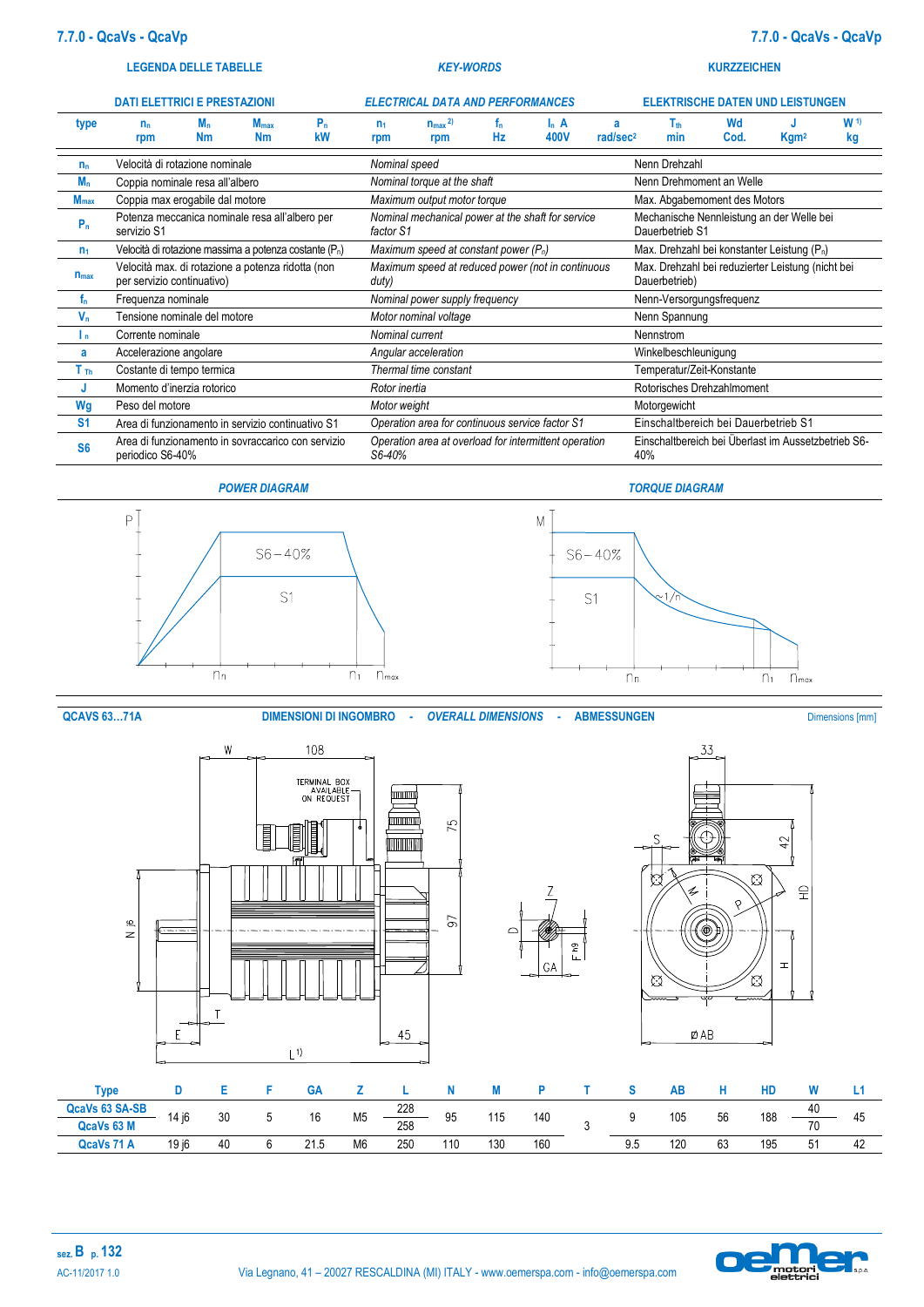#### **LEGENDA DELLE TABELLE** *KEY-WORDS* **KURZZEICHEN**

|                  | <b>DATI ELETTRICI E PRESTAZIONI</b> |                      |                                                                    |          |                       | <b>ELECTRICAL DATA AND PERFORMANCES</b><br><b>ELEKTRISCHE DATEN UND LEISTUNGEN</b> |           |                 |                           |                                      |            |                                                         |                      |
|------------------|-------------------------------------|----------------------|--------------------------------------------------------------------|----------|-----------------------|------------------------------------------------------------------------------------|-----------|-----------------|---------------------------|--------------------------------------|------------|---------------------------------------------------------|----------------------|
| type             | $n_{n}$<br>rpm                      | $M_{n}$<br><b>Nm</b> | $M_{\text{max}}$<br><b>Nm</b>                                      | P,<br>kW | n <sub>1</sub><br>rpm | $n_{max}$ <sup>2)</sup><br>rpm                                                     | Tn.<br>Hz | $I_n$ A<br>400V | a<br>rad/sec <sup>2</sup> | $\mathsf{T}_\mathsf{th}$<br>min      | Wd<br>Cod. | Kgm <sup>2</sup>                                        | W <sub>1</sub><br>kg |
| $n_{n}$          | Velocità di rotazione nominale      |                      |                                                                    |          | Nominal speed         |                                                                                    |           |                 |                           | Nenn Drehzahl                        |            |                                                         |                      |
| $M_n$            | Coppia nominale resa all'albero     |                      |                                                                    |          |                       | Nominal torque at the shaft                                                        |           |                 |                           | Nenn Drehmoment an Welle             |            |                                                         |                      |
| M <sub>max</sub> | Coppia max erogabile dal motore     |                      |                                                                    |          |                       | Maximum output motor torque                                                        |           |                 |                           | Max. Abgabemoment des Motors         |            |                                                         |                      |
| $P_n$            | servizio S1                         |                      | Potenza meccanica nominale resa all'albero per                     |          | factor S1             | Nominal mechanical power at the shaft for service                                  |           |                 |                           | Dauerbetrieb S1                      |            | Mechanische Nennleistung an der Welle bei               |                      |
| n <sub>1</sub>   |                                     |                      | Velocità di rotazione massima a potenza costante (P <sub>n</sub> ) |          |                       | Maximum speed at constant power $(P_n)$                                            |           |                 |                           |                                      |            | Max. Drehzahl bei konstanter Leistung (P <sub>n</sub> ) |                      |
| $n_{max}$        | per servizio continuativo)          |                      | Velocità max. di rotazione a potenza ridotta (non                  |          | duty)                 | Maximum speed at reduced power (not in continuous                                  |           |                 |                           | Dauerbetrieb)                        |            | Max. Drehzahl bei reduzierter Leistung (nicht bei       |                      |
| f.               | Frequenza nominale                  |                      |                                                                    |          |                       | Nominal power supply frequency                                                     |           |                 |                           | Nenn-Versorgungsfrequenz             |            |                                                         |                      |
| $V_n$            | Tensione nominale del motore        |                      |                                                                    |          |                       | Motor nominal voltage                                                              |           |                 |                           | Nenn Spannung                        |            |                                                         |                      |
| Ιn.              | Corrente nominale                   |                      |                                                                    |          |                       | Nominal current                                                                    |           |                 |                           | Nennstrom                            |            |                                                         |                      |
| a                | Accelerazione angolare              |                      |                                                                    |          |                       | Angular acceleration                                                               |           |                 |                           | Winkelbeschleunigung                 |            |                                                         |                      |
| T <sub>Th</sub>  | Costante di tempo termica           |                      |                                                                    |          |                       | Thermal time constant                                                              |           |                 |                           | Temperatur/Zeit-Konstante            |            |                                                         |                      |
| J                | Momento d'inerzia rotorico          |                      |                                                                    |          | Rotor inertia         |                                                                                    |           |                 |                           | Rotorisches Drehzahlmoment           |            |                                                         |                      |
| Wg               | Peso del motore                     |                      |                                                                    |          | Motor weight          |                                                                                    |           |                 |                           | Motorgewicht                         |            |                                                         |                      |
| S <sub>1</sub>   |                                     |                      | Area di funzionamento in servizio continuativo S1                  |          |                       | Operation area for continuous service factor S1                                    |           |                 |                           | Einschaltbereich bei Dauerbetrieb S1 |            |                                                         |                      |
| S <sub>6</sub>   | periodico S6-40%                    |                      | Area di funzionamento in sovraccarico con servizio                 |          | S6-40%                | Operation area at overload for intermittent operation                              |           |                 |                           | 40%                                  |            | Einschaltbereich bei Überlast im Aussetzbetrieb S6-     |                      |







**QCAVS 63...71A DIMENSIONI DI INGOMBRO -** *OVERALL DIMENSIONS* - **ABMESSUNGEN** Dimensions [mm]







33

| <b>Type</b>    |       |    | GА   |                |     |     |     |     |     | AE  |    | HD  | w  |    |
|----------------|-------|----|------|----------------|-----|-----|-----|-----|-----|-----|----|-----|----|----|
| QcaVs 63 SA-SB | 14 i6 | 30 | 16   | M <sub>5</sub> | 228 | 95  | 115 | 140 |     | 105 | 56 | 188 | 40 |    |
| QcaVs 63 M     |       |    |      |                | 258 |     |     |     |     |     |    |     | 70 | 45 |
| QcaVs 71 A     | 19 i6 | 40 | 21.5 | M <sub>6</sub> | 250 | 110 | 130 | 160 | 9.5 | 120 | 63 | 195 | 51 | 42 |

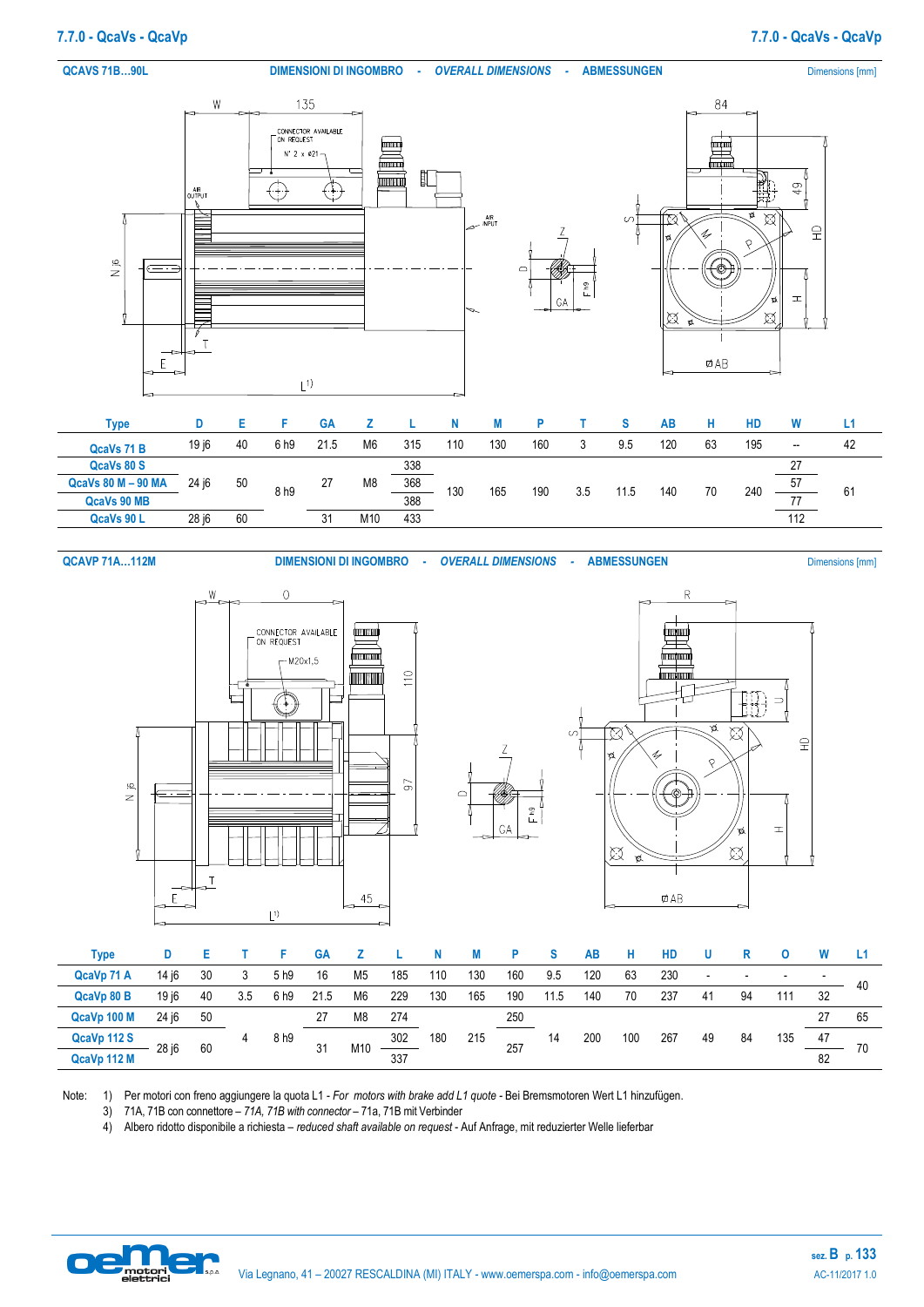### **QCAVS 71B...90L DIMENSIONI DI INGOMBRO -** *OVERALL DIMENSIONS* - **ABMESSUNGEN** Dimensions [mm]



| Type               |       |    |      | <b>GA</b> |                |     |     |     |     |     |      | АΒ  |    | HD  |                          | L1 |
|--------------------|-------|----|------|-----------|----------------|-----|-----|-----|-----|-----|------|-----|----|-----|--------------------------|----|
| QcaVs 71 B         | 19 i6 | 40 | 6 h9 | 21.5      | M <sub>6</sub> | 315 | 110 | 130 | 160 | J   | 9.5  | 120 | 63 | 195 | $\overline{\phantom{a}}$ | 42 |
| QcaVs 80 S         |       |    |      |           |                | 338 |     |     |     |     |      |     |    |     | 77                       |    |
| QcaVs 80 M - 90 MA | 24 j6 | 50 | 8h9  | 27        | M <sub>8</sub> | 368 | 130 | 165 | 190 | 3.5 | 11.5 | 140 | 70 | 240 | 57                       | 61 |
| QcaVs 90 MB        |       |    |      |           |                | 388 |     |     |     |     |      |     |    |     | 77                       |    |
| QcaVs 90 L         | 28 i6 | 60 |      | 31        | M10            | 433 |     |     |     |     |      |     |    |     | 112                      |    |

**QCAVP 71A…112M DIMENSIONI DI INGOMBRO -** *OVERALL DIMENSIONS* - **ABMESSUNGEN** Dimensions [mm]

 $\equiv$ 

 $\mathbf{I}$ 

 $\widehat{\mathbb{E}}$ 

 $\boxtimes$ 

¢

 $\boxtimes$ 



| <b>Type</b> |       |    |     |      | <b>GA</b> |                 |     |     |     |     |      | AB  | н   | <b>HD</b> |    |    |     |    |    |
|-------------|-------|----|-----|------|-----------|-----------------|-----|-----|-----|-----|------|-----|-----|-----------|----|----|-----|----|----|
| QcaVp 71 A  | 14 i6 | 30 |     | 5 h9 | 16        | M <sub>5</sub>  | 185 | 110 | 130 | 160 | 9.5  | 120 | 63  | 230       | -  |    |     |    | 40 |
| QcaVp 80 B  | 19 i6 | 40 | 3.5 | 6 h9 | 21.5      | M6              | 229 | 130 | 165 | 190 | 11.5 | 140 | 70  | 237       | 41 | 94 | 111 | 32 |    |
| QcaVp 100 M | 24 i6 | 50 |     |      |           | M8              | 274 |     |     | 250 |      |     |     |           |    |    |     | 27 | 65 |
| QcaVp 112 S | 28 i6 | 60 |     | 8 h9 | 31        | M <sub>10</sub> | 302 | 180 | 215 | 257 | 14   | 200 | 100 | 267       | 49 | 84 | 135 | 47 | 70 |
| QcaVp 112 M |       |    |     |      |           |                 | 337 |     |     |     |      |     |     |           |    |    |     | 82 |    |

Note: 1) Per motori con freno aggiungere la quota L1 - *For motors with brake add L1 quote -* Bei Bremsmotoren Wert L1 hinzufügen.

3) 71A, 71B con connettore – *71A, 71B with connector –* 71a, 71B mit Verbinder

4) Albero ridotto disponibile a richiesta – *reduced shaft available on request* - Auf Anfrage, mit reduzierter Welle lieferbar

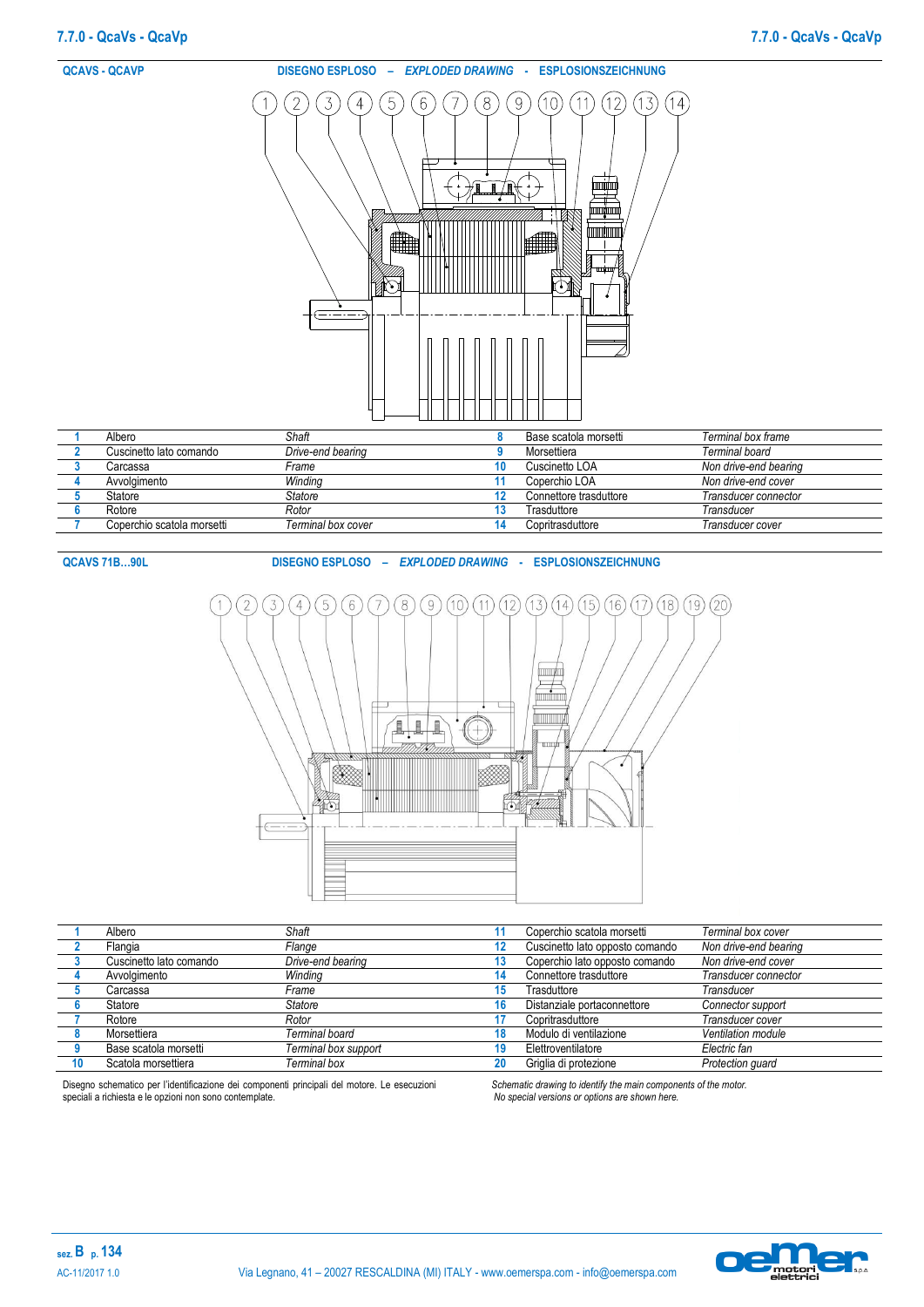

| Cuscinetto lato comando    | Drive-end bearing  | Morsettiera            | Terminal board        |
|----------------------------|--------------------|------------------------|-----------------------|
| Carcassa                   | Frame              | Cuscinetto LOA         | Non drive-end bearing |
| Avvolaimento               | Winding            | Coperchio LOA          | Non drive-end cover   |
| Statore                    | Statore            | Connettore trasduttore | Transducer connector  |
| Rotore                     | Rotor              | Trasduttore            | Transducer            |
| Coperchio scatola morsetti | Terminal box cover | Copritrasduttore       | Transducer cover      |

**QCAVS 71B…90L DISEGNO ESPLOSO –** *EXPLODED DRAWING* **- ESPLOSIONSZEICHNUNG**



| Albero                  | Shaft                |    | Coperchio scatola morsetti      | Terminal box cover    |
|-------------------------|----------------------|----|---------------------------------|-----------------------|
| Flangia                 | Flange               | 12 | Cuscinetto lato opposto comando | Non drive-end bearing |
| Cuscinetto lato comando | Drive-end bearing    | 13 | Coperchio lato opposto comando  | Non drive-end cover   |
| Avvolgimento            | Winding              | 14 | Connettore trasduttore          | Transducer connector  |
| Carcassa                | Frame                | 15 | Trasduttore                     | Transducer            |
| Statore                 | Statore              | 16 | Distanziale portaconnettore     | Connector support     |
| Rotore                  | Rotor                |    | Copritrasduttore                | Transducer cover      |
| Morsettiera             | Terminal board       | 18 | Modulo di ventilazione          | Ventilation module    |
| Base scatola morsetti   | Terminal box support | 19 | Elettroventilatore              | Electric fan          |
| Scatola morsettiera     | Terminal box         | 20 | Griglia di protezione           | Protection guard      |

Disegno schematico per l'identificazione dei componenti principali del motore. Le esecuzioni speciali a richiesta e le opzioni non sono contemplate.

*Schematic drawing to identify the main components of the motor. No special versions or options are shown here.*